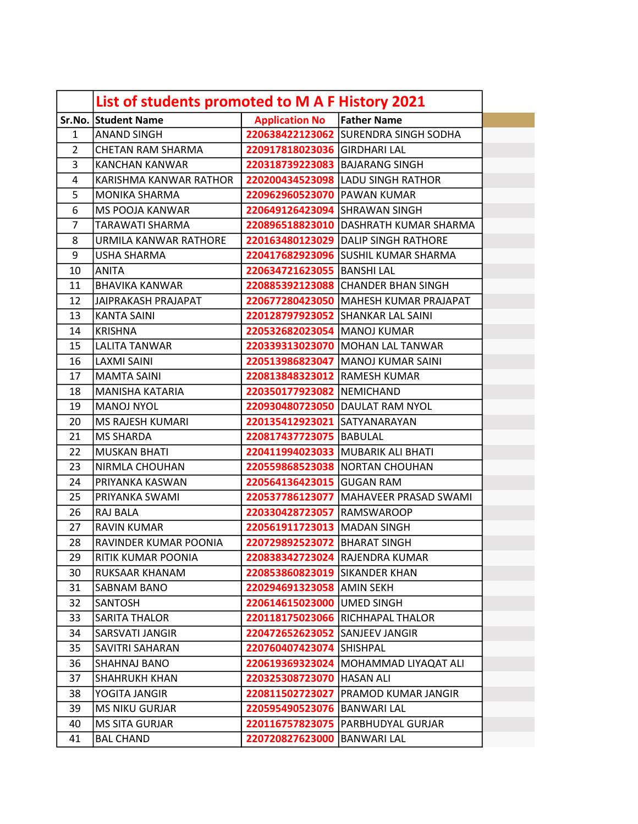|                | List of students promoted to M A F History 2021 |                                  |                                         |
|----------------|-------------------------------------------------|----------------------------------|-----------------------------------------|
|                | Sr.No. Student Name                             | <b>Application No</b>            | <b>Father Name</b>                      |
| 1              | <b>ANAND SINGH</b>                              |                                  | 220638422123062 SURENDRA SINGH SODHA    |
| $\overline{2}$ | <b>CHETAN RAM SHARMA</b>                        | 220917818023036 GIRDHARI LAL     |                                         |
| 3              | <b>KANCHAN KANWAR</b>                           | 220318739223083   BAJARANG SINGH |                                         |
| 4              | KARISHMA KANWAR RATHOR                          |                                  | 220200434523098 LADU SINGH RATHOR       |
| 5              | <b>MONIKA SHARMA</b>                            | 220962960523070 PAWAN KUMAR      |                                         |
| 6              | <b>MS POOJA KANWAR</b>                          | 220649126423094 SHRAWAN SINGH    |                                         |
| $\overline{7}$ | <b>TARAWATI SHARMA</b>                          |                                  | 220896518823010 DASHRATH KUMAR SHARMA   |
| 8              | URMILA KANWAR RATHORE                           |                                  | 220163480123029 DALIP SINGH RATHORE     |
| 9              | <b>USHA SHARMA</b>                              |                                  | 220417682923096 SUSHIL KUMAR SHARMA     |
| 10             | <b>ANITA</b>                                    | 220634721623055 BANSHI LAL       |                                         |
| 11             | <b>BHAVIKA KANWAR</b>                           |                                  | 220885392123088 CHANDER BHAN SINGH      |
| 12             | <b>JAIPRAKASH PRAJAPAT</b>                      |                                  | 220677280423050   MAHESH KUMAR PRAJAPAT |
| 13             | <b>KANTA SAINI</b>                              |                                  | 220128797923052 SHANKAR LAL SAINI       |
| 14             | <b>KRISHNA</b>                                  | 220532682023054   MANOJ KUMAR    |                                         |
| 15             | <b>LALITA TANWAR</b>                            |                                  | 220339313023070 MOHAN LAL TANWAR        |
| 16             | <b>LAXMI SAINI</b>                              |                                  | 220513986823047   MANOJ KUMAR SAINI     |
| 17             | <b>MAMTA SAINI</b>                              | 220813848323012 RAMESH KUMAR     |                                         |
| 18             | <b>MANISHA KATARIA</b>                          | 220350177923082 NEMICHAND        |                                         |
| 19             | <b>MANOJ NYOL</b>                               |                                  | 220930480723050 DAULAT RAM NYOL         |
| 20             | <b>MS RAJESH KUMARI</b>                         | 220135412923021 SATYANARAYAN     |                                         |
| 21             | <b>MS SHARDA</b>                                | 220817437723075 BABULAL          |                                         |
| 22             | <b>MUSKAN BHATI</b>                             |                                  | 220411994023033   MUBARIK ALI BHATI     |
| 23             | <b>NIRMLA CHOUHAN</b>                           |                                  | 220559868523038   NORTAN CHOUHAN        |
| 24             | PRIYANKA KASWAN                                 | 220564136423015 GUGAN RAM        |                                         |
| 25             | PRIYANKA SWAMI                                  |                                  | 220537786123077   MAHAVEER PRASAD SWAMI |
| 26             | <b>RAJ BALA</b>                                 | 220330428723057 RAMSWAROOP       |                                         |
| 27             | <b>RAVIN KUMAR</b>                              | 220561911723013   MADAN SINGH    |                                         |
| 28             | RAVINDER KUMAR POONIA                           | 220729892523072 BHARAT SINGH     |                                         |
| 29             | RITIK KUMAR POONIA                              |                                  | 220838342723024 RAJENDRA KUMAR          |
| 30             | RUKSAAR KHANAM                                  | 220853860823019 SIKANDER KHAN    |                                         |
| 31             | SABNAM BANO                                     | 220294691323058 AMIN SEKH        |                                         |
| 32             | <b>SANTOSH</b>                                  | 220614615023000   UMED SINGH     |                                         |
| 33             | <b>SARITA THALOR</b>                            |                                  | 220118175023066 RICHHAPAL THALOR        |
| 34             | <b>SARSVATI JANGIR</b>                          | 220472652623052 SANJEEV JANGIR   |                                         |
| 35             | SAVITRI SAHARAN                                 | 220760407423074 SHISHPAL         |                                         |
| 36             | <b>SHAHNAJ BANO</b>                             |                                  | 220619369323024   MOHAMMAD LIYAQAT ALI  |
| 37             | <b>SHAHRUKH KHAN</b>                            | 220325308723070 HASAN ALI        |                                         |
| 38             | YOGITA JANGIR                                   |                                  | 220811502723027   PRAMOD KUMAR JANGIR   |
| 39             | <b>MS NIKU GURJAR</b>                           | 220595490523076 BANWARI LAL      |                                         |
| 40             | <b>MS SITA GURJAR</b>                           |                                  | 220116757823075   PARBHUDYAL GURJAR     |
| 41             | <b>BAL CHAND</b>                                | 220720827623000 BANWARI LAL      |                                         |